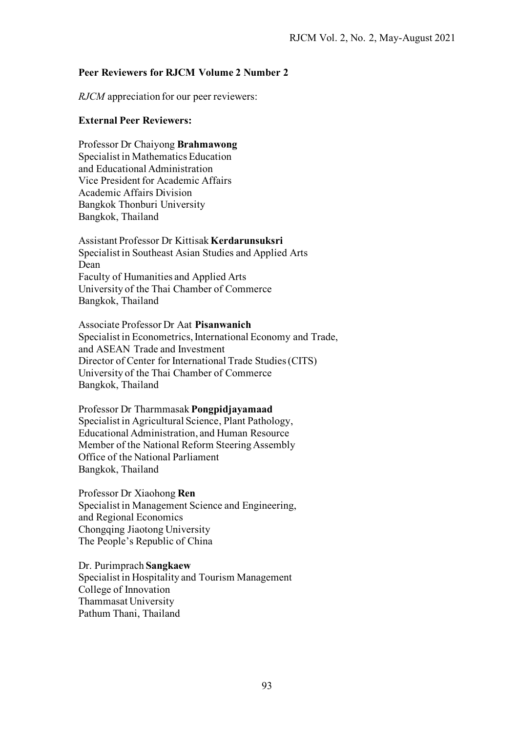## **Peer Reviewers for RJCM Volume 2 Number 2**

*RJCM* appreciation for our peer reviewers:

## **External Peer Reviewers:**

Professor Dr Chaiyong **Brahmawong**  Specialist in Mathematics Education and Educational Administration Vice President for Academic Affairs Academic Affairs Division Bangkok Thonburi University Bangkok, Thailand

Assistant Professor Dr Kittisak **Kerdarunsuksri**  Specialist in Southeast Asian Studies and Applied Arts Dean Faculty of Humanities and Applied Arts University of the Thai Chamber of Commerce Bangkok, Thailand

Associate Professor Dr Aat **Pisanwanich**  Specialist in Econometrics, International Economy and Trade, and ASEAN Trade and Investment Director of Center for International Trade Studies (CITS) University of the Thai Chamber of Commerce Bangkok, Thailand

Professor Dr Tharmmasak **Pongpidjayamaad**  Specialist in Agricultural Science, Plant Pathology, Educational Administration, and Human Resource Member of the National Reform Steering Assembly Office of the National Parliament Bangkok, Thailand

Professor Dr Xiaohong **Ren** Specialist in Management Science and Engineering, and Regional Economics Chongqing Jiaotong University The People's Republic of China

Dr. Purimprach **Sangkaew**  Specialist in Hospitality and Tourism Management College of Innovation Thammasat University Pathum Thani, Thailand